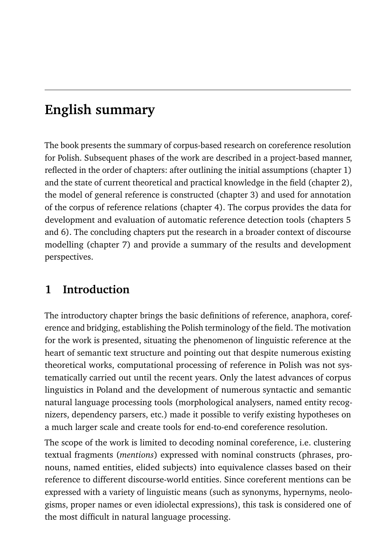# **English summary**

The book presents the summary of corpus-based research on coreference resolution for Polish. Subsequent phases of the work are described in a project-based manner, reflected in the order of chapters: after outlining the initial assumptions (chapter 1) and the state of current theoretical and practical knowledge in the field (chapter 2), the model of general reference is constructed (chapter 3) and used for annotation of the corpus of reference relations (chapter 4). The corpus provides the data for development and evaluation of automatic reference detection tools (chapters 5 and 6). The concluding chapters put the research in a broader context of discourse modelling (chapter 7) and provide a summary of the results and development perspectives.

## **1 Introduction**

The introductory chapter brings the basic definitions of reference, anaphora, coreference and bridging, establishing the Polish terminology of the field. The motivation for the work is presented, situating the phenomenon of linguistic reference at the heart of semantic text structure and pointing out that despite numerous existing theoretical works, computational processing of reference in Polish was not systematically carried out until the recent years. Only the latest advances of corpus linguistics in Poland and the development of numerous syntactic and semantic natural language processing tools (morphological analysers, named entity recognizers, dependency parsers, etc.) made it possible to verify existing hypotheses on a much larger scale and create tools for end-to-end coreference resolution.

The scope of the work is limited to decoding nominal coreference, i.e. clustering textual fragments (*mentions*) expressed with nominal constructs (phrases, pronouns, named entities, elided subjects) into equivalence classes based on their reference to different discourse-world entities. Since coreferent mentions can be expressed with a variety of linguistic means (such as synonyms, hypernyms, neologisms, proper names or even idiolectal expressions), this task is considered one of the most difficult in natural language processing.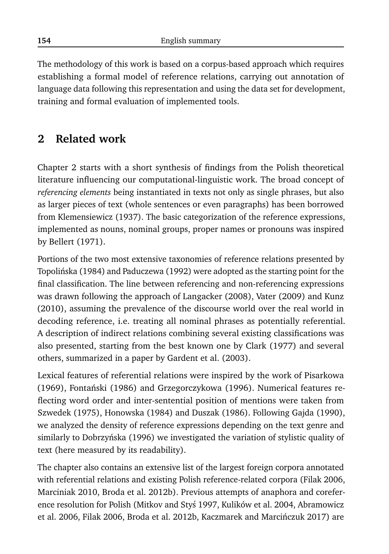The methodology of this work is based on a corpus-based approach which requires establishing a formal model of reference relations, carrying out annotation of language data following this representation and using the data set for development, training and formal evaluation of implemented tools.

### **2 Related work**

Chapter 2 starts with a short synthesis of findings from the Polish theoretical literature influencing our computational-linguistic work. The broad concept of *referencing elements* being instantiated in texts not only as single phrases, but also as larger pieces of text (whole sentences or even paragraphs) has been borrowed from Klemensiewicz (1937). The basic categorization of the reference expressions, implemented as nouns, nominal groups, proper names or pronouns was inspired by Bellert (1971).

Portions of the two most extensive taxonomies of reference relations presented by Topolińska (1984) and Paduczewa (1992) were adopted as the starting point for the final classification. The line between referencing and non-referencing expressions was drawn following the approach of Langacker (2008), Vater (2009) and Kunz (2010), assuming the prevalence of the discourse world over the real world in decoding reference, i.e. treating all nominal phrases as potentially referential. A description of indirect relations combining several existing classifications was also presented, starting from the best known one by Clark (1977) and several others, summarized in a paper by Gardent et al. (2003).

Lexical features of referential relations were inspired by the work of Pisarkowa (1969), Fontański (1986) and Grzegorczykowa (1996). Numerical features reflecting word order and inter-sentential position of mentions were taken from Szwedek (1975), Honowska (1984) and Duszak (1986). Following Gajda (1990), we analyzed the density of reference expressions depending on the text genre and similarly to Dobrzyńska (1996) we investigated the variation of stylistic quality of text (here measured by its readability).

The chapter also contains an extensive list of the largest foreign corpora annotated with referential relations and existing Polish reference-related corpora (Filak 2006, Marciniak 2010, Broda et al. 2012b). Previous attempts of anaphora and coreference resolution for Polish (Mitkov and Styś 1997, Kulików et al. 2004, Abramowicz et al. 2006, Filak 2006, Broda et al. 2012b, Kaczmarek and Marcińczuk 2017) are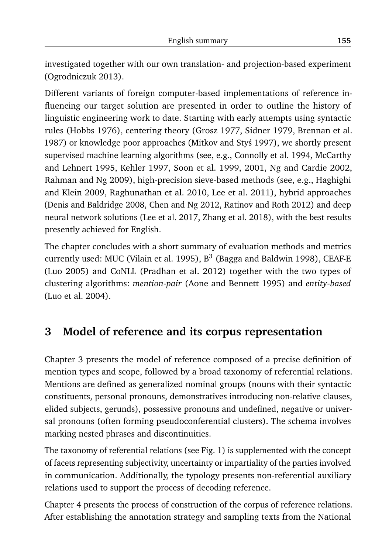investigated together with our own translation- and projection-based experiment (Ogrodniczuk 2013).

Different variants of foreign computer-based implementations of reference influencing our target solution are presented in order to outline the history of linguistic engineering work to date. Starting with early attempts using syntactic rules (Hobbs 1976), centering theory (Grosz 1977, Sidner 1979, Brennan et al. 1987) or knowledge poor approaches (Mitkov and Styś 1997), we shortly present supervised machine learning algorithms (see, e.g., Connolly et al. 1994, McCarthy and Lehnert 1995, Kehler 1997, Soon et al. 1999, 2001, Ng and Cardie 2002, Rahman and Ng 2009), high-precision sieve-based methods (see, e.g., Haghighi and Klein 2009, Raghunathan et al. 2010, Lee et al. 2011), hybrid approaches (Denis and Baldridge 2008, Chen and Ng 2012, Ratinov and Roth 2012) and deep neural network solutions (Lee et al. 2017, Zhang et al. 2018), with the best results presently achieved for English.

The chapter concludes with a short summary of evaluation methods and metrics currently used: MUC (Vilain et al. 1995),  $B^3$  (Bagga and Baldwin 1998), CEAF-E (Luo 2005) and CoNLL (Pradhan et al. 2012) together with the two types of clustering algorithms: *mention-pair* (Aone and Bennett 1995) and *entity-based* (Luo et al. 2004).

## **3 Model of reference and its corpus representation**

Chapter 3 presents the model of reference composed of a precise definition of mention types and scope, followed by a broad taxonomy of referential relations. Mentions are defined as generalized nominal groups (nouns with their syntactic constituents, personal pronouns, demonstratives introducing non-relative clauses, elided subjects, gerunds), possessive pronouns and undefined, negative or universal pronouns (often forming pseudoconferential clusters). The schema involves marking nested phrases and discontinuities.

The taxonomy of referential relations (see Fig. 1) is supplemented with the concept of facets representing subjectivity, uncertainty or impartiality of the parties involved in communication. Additionally, the typology presents non-referential auxiliary relations used to support the process of decoding reference.

Chapter 4 presents the process of construction of the corpus of reference relations. After establishing the annotation strategy and sampling texts from the National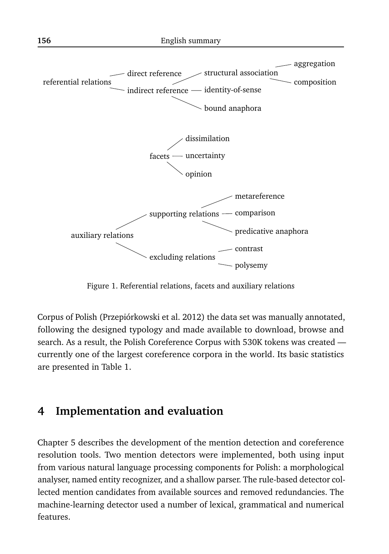

Figure 1. Referential relations, facets and auxiliary relations

Corpus of Polish (Przepiórkowski et al. 2012) the data set was manually annotated, following the designed typology and made available to download, browse and search. As a result, the Polish Coreference Corpus with 530K tokens was created currently one of the largest coreference corpora in the world. Its basic statistics are presented in Table 1.

### **4 Implementation and evaluation**

Chapter 5 describes the development of the mention detection and coreference resolution tools. Two mention detectors were implemented, both using input from various natural language processing components for Polish: a morphological analyser, named entity recognizer, and a shallow parser. The rule-based detector collected mention candidates from available sources and removed redundancies. The machine-learning detector used a number of lexical, grammatical and numerical features.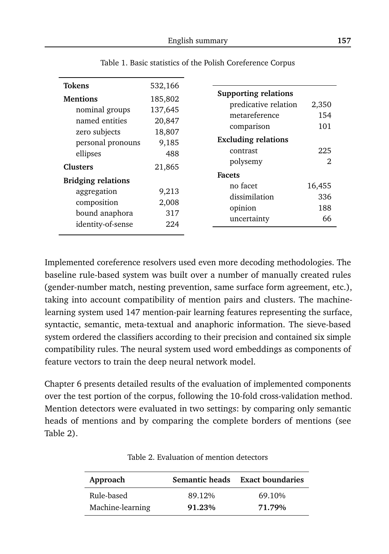| <b>Tokens</b>                                                                                         | 532,166                                                |                                                                                                                                                            |
|-------------------------------------------------------------------------------------------------------|--------------------------------------------------------|------------------------------------------------------------------------------------------------------------------------------------------------------------|
| <b>Mentions</b><br>nominal groups<br>named entities<br>zero subjects<br>personal pronouns<br>ellipses | 185,802<br>137,645<br>20,847<br>18,807<br>9,185<br>488 | <b>Supporting relations</b><br>predicative relation<br>2,350<br>metareference<br>154<br>101<br>comparison<br><b>Excluding relations</b><br>225<br>contrast |
| <b>Clusters</b><br><b>Bridging relations</b><br>aggregation<br>composition                            | 21,865<br>9,213<br>2,008                               | polysemy<br>2<br><b>Facets</b><br>no facet<br>16,455<br>dissimilation<br>336<br>opinion<br>188                                                             |
| bound anaphora<br>identity-of-sense                                                                   | 317<br>224                                             | 66<br>uncertainty                                                                                                                                          |

Table 1. Basic statistics of the Polish Coreference Corpus

Implemented coreference resolvers used even more decoding methodologies. The baseline rule-based system was built over a number of manually created rules (gender-number match, nesting prevention, same surface form agreement, etc.), taking into account compatibility of mention pairs and clusters. The machinelearning system used 147 mention-pair learning features representing the surface, syntactic, semantic, meta-textual and anaphoric information. The sieve-based system ordered the classifiers according to their precision and contained six simple compatibility rules. The neural system used word embeddings as components of feature vectors to train the deep neural network model.

Chapter 6 presents detailed results of the evaluation of implemented components over the test portion of the corpus, following the 10-fold cross-validation method. Mention detectors were evaluated in two settings: by comparing only semantic heads of mentions and by comparing the complete borders of mentions (see Table 2).

| Approach         | Semantic heads | <b>Exact boundaries</b> |  |
|------------------|----------------|-------------------------|--|
| Rule-based       | 89.12%         | 69.10%                  |  |
| Machine-learning | 91.23%         | 71.79%                  |  |

Table 2. Evaluation of mention detectors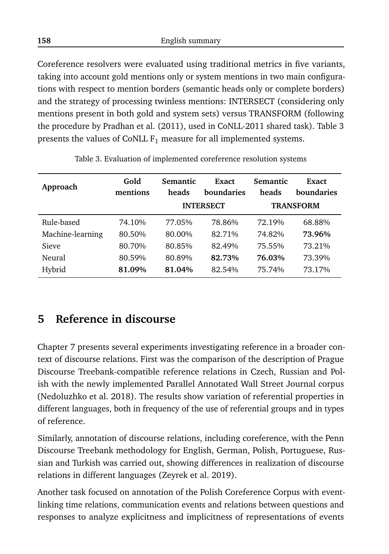Coreference resolvers were evaluated using traditional metrics in five variants, taking into account gold mentions only or system mentions in two main configurations with respect to mention borders (semantic heads only or complete borders) and the strategy of processing twinless mentions: INTERSECT (considering only mentions present in both gold and system sets) versus TRANSFORM (following the procedure by Pradhan et al. (2011), used in CoNLL-2011 shared task). Table 3 presents the values of CoNLL  $F_1$  measure for all implemented systems.

| Approach         | Gold<br>mentions | <b>Semantic</b><br>heads | <b>Exact</b><br>boundaries | <b>Semantic</b><br>heads | Exact<br>boundaries |
|------------------|------------------|--------------------------|----------------------------|--------------------------|---------------------|
|                  |                  | <b>INTERSECT</b>         |                            | <b>TRANSFORM</b>         |                     |
| Rule-based       | 74.10%           | 77.05%                   | 78.86%                     | 72.19%                   | 68.88%              |
| Machine-learning | 80.50%           | 80.00%                   | 82.71%                     | 74.82%                   | 73.96%              |
| <b>Sieve</b>     | 80.70%           | 80.85%                   | 82.49%                     | 75.55%                   | 73.21%              |
| Neural           | 80.59%           | 80.89%                   | 82.73%                     | 76.03%                   | 73.39%              |
| Hybrid           | 81.09%           | 81.04%                   | 82.54%                     | 75.74%                   | 73.17%              |

Table 3. Evaluation of implemented coreference resolution systems

## **5 Reference in discourse**

Chapter 7 presents several experiments investigating reference in a broader context of discourse relations. First was the comparison of the description of Prague Discourse Treebank-compatible reference relations in Czech, Russian and Polish with the newly implemented Parallel Annotated Wall Street Journal corpus (Nedoluzhko et al. 2018). The results show variation of referential properties in different languages, both in frequency of the use of referential groups and in types of reference.

Similarly, annotation of discourse relations, including coreference, with the Penn Discourse Treebank methodology for English, German, Polish, Portuguese, Russian and Turkish was carried out, showing differences in realization of discourse relations in different languages (Zeyrek et al. 2019).

Another task focused on annotation of the Polish Coreference Corpus with eventlinking time relations, communication events and relations between questions and responses to analyze explicitness and implicitness of representations of events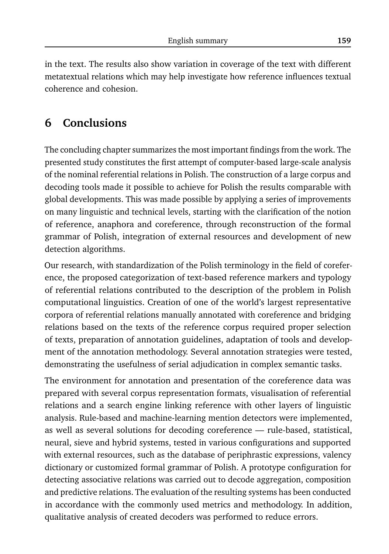in the text. The results also show variation in coverage of the text with different metatextual relations which may help investigate how reference influences textual coherence and cohesion.

#### **6 Conclusions**

The concluding chapter summarizes the most important findings from the work. The presented study constitutes the first attempt of computer-based large-scale analysis of the nominal referential relations in Polish. The construction of a large corpus and decoding tools made it possible to achieve for Polish the results comparable with global developments. This was made possible by applying a series of improvements on many linguistic and technical levels, starting with the clarification of the notion of reference, anaphora and coreference, through reconstruction of the formal grammar of Polish, integration of external resources and development of new detection algorithms.

Our research, with standardization of the Polish terminology in the field of coreference, the proposed categorization of text-based reference markers and typology of referential relations contributed to the description of the problem in Polish computational linguistics. Creation of one of the world's largest representative corpora of referential relations manually annotated with coreference and bridging relations based on the texts of the reference corpus required proper selection of texts, preparation of annotation guidelines, adaptation of tools and development of the annotation methodology. Several annotation strategies were tested, demonstrating the usefulness of serial adjudication in complex semantic tasks.

The environment for annotation and presentation of the coreference data was prepared with several corpus representation formats, visualisation of referential relations and a search engine linking reference with other layers of linguistic analysis. Rule-based and machine-learning mention detectors were implemented, as well as several solutions for decoding coreference — rule-based, statistical, neural, sieve and hybrid systems, tested in various configurations and supported with external resources, such as the database of periphrastic expressions, valency dictionary or customized formal grammar of Polish. A prototype configuration for detecting associative relations was carried out to decode aggregation, composition and predictive relations. The evaluation of the resulting systems has been conducted in accordance with the commonly used metrics and methodology. In addition, qualitative analysis of created decoders was performed to reduce errors.